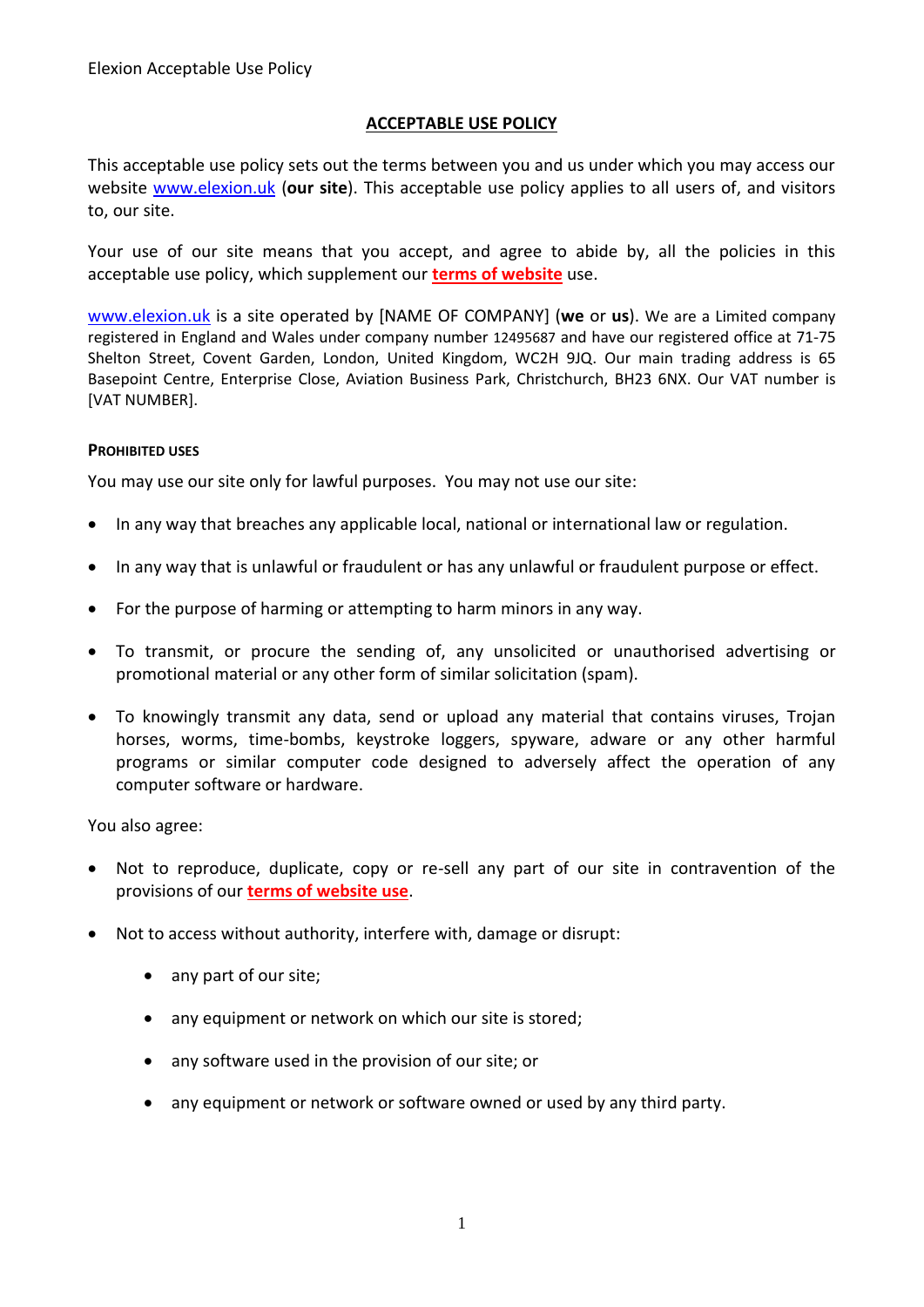# **ACCEPTABLE USE POLICY**

This acceptable use policy sets out the terms between you and us under which you may access our website [www.elexion.uk](http://www.elexion.uk/) (**our site**). This acceptable use policy applies to all users of, and visitors to, our site.

Your use of our site means that you accept, and agree to abide by, all the policies in this acceptable use policy, which supplement our **terms of website** use.

[www.elexion.uk](http://www.elexion.uk/) is a site operated by [NAME OF COMPANY] (**we** or **us**). We are a Limited company registered in England and Wales under company number 12495687 and have our registered office at 71-75 Shelton Street, Covent Garden, London, United Kingdom, WC2H 9JQ. Our main trading address is 65 Basepoint Centre, Enterprise Close, Aviation Business Park, Christchurch, BH23 6NX. Our VAT number is [VAT NUMBER].

# **PROHIBITED USES**

You may use our site only for lawful purposes. You may not use our site:

- In any way that breaches any applicable local, national or international law or regulation.
- In any way that is unlawful or fraudulent or has any unlawful or fraudulent purpose or effect.
- For the purpose of harming or attempting to harm minors in any way.
- To transmit, or procure the sending of, any unsolicited or unauthorised advertising or promotional material or any other form of similar solicitation (spam).
- To knowingly transmit any data, send or upload any material that contains viruses, Trojan horses, worms, time-bombs, keystroke loggers, spyware, adware or any other harmful programs or similar computer code designed to adversely affect the operation of any computer software or hardware.

You also agree:

- Not to reproduce, duplicate, copy or re-sell any part of our site in contravention of the provisions of our **terms of website use**.
- Not to access without authority, interfere with, damage or disrupt:
	- any part of our site;
	- any equipment or network on which our site is stored;
	- any software used in the provision of our site; or
	- any equipment or network or software owned or used by any third party.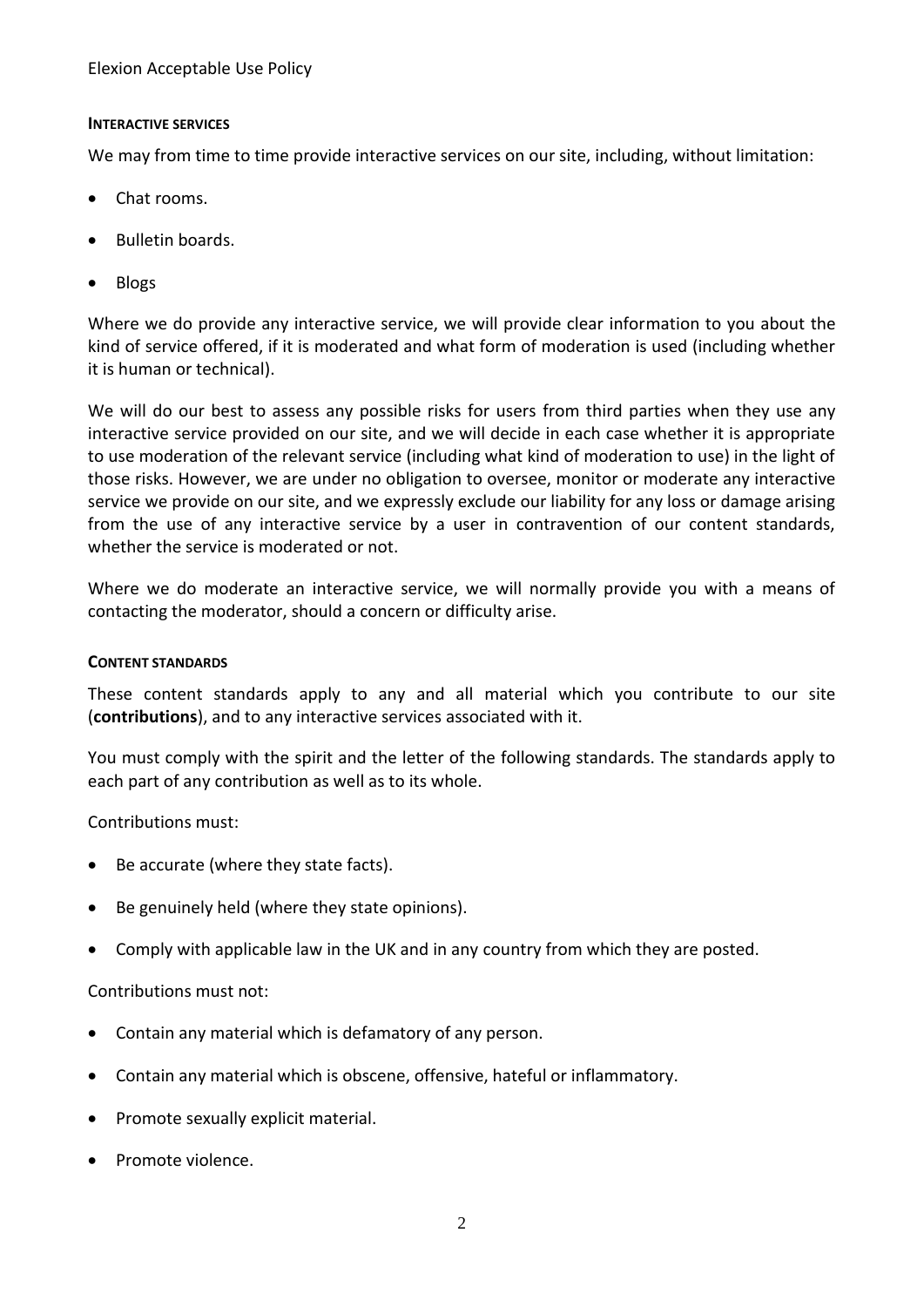Elexion Acceptable Use Policy

# **INTERACTIVE SERVICES**

We may from time to time provide interactive services on our site, including, without limitation:

- Chat rooms.
- Bulletin boards.
- Blogs

Where we do provide any interactive service, we will provide clear information to you about the kind of service offered, if it is moderated and what form of moderation is used (including whether it is human or technical).

We will do our best to assess any possible risks for users from third parties when they use any interactive service provided on our site, and we will decide in each case whether it is appropriate to use moderation of the relevant service (including what kind of moderation to use) in the light of those risks. However, we are under no obligation to oversee, monitor or moderate any interactive service we provide on our site, and we expressly exclude our liability for any loss or damage arising from the use of any interactive service by a user in contravention of our content standards, whether the service is moderated or not.

Where we do moderate an interactive service, we will normally provide you with a means of contacting the moderator, should a concern or difficulty arise.

### **CONTENT STANDARDS**

These content standards apply to any and all material which you contribute to our site (**contributions**), and to any interactive services associated with it.

You must comply with the spirit and the letter of the following standards. The standards apply to each part of any contribution as well as to its whole.

Contributions must:

- Be accurate (where they state facts).
- Be genuinely held (where they state opinions).
- Comply with applicable law in the UK and in any country from which they are posted.

Contributions must not:

- Contain any material which is defamatory of any person.
- Contain any material which is obscene, offensive, hateful or inflammatory.
- Promote sexually explicit material.
- Promote violence.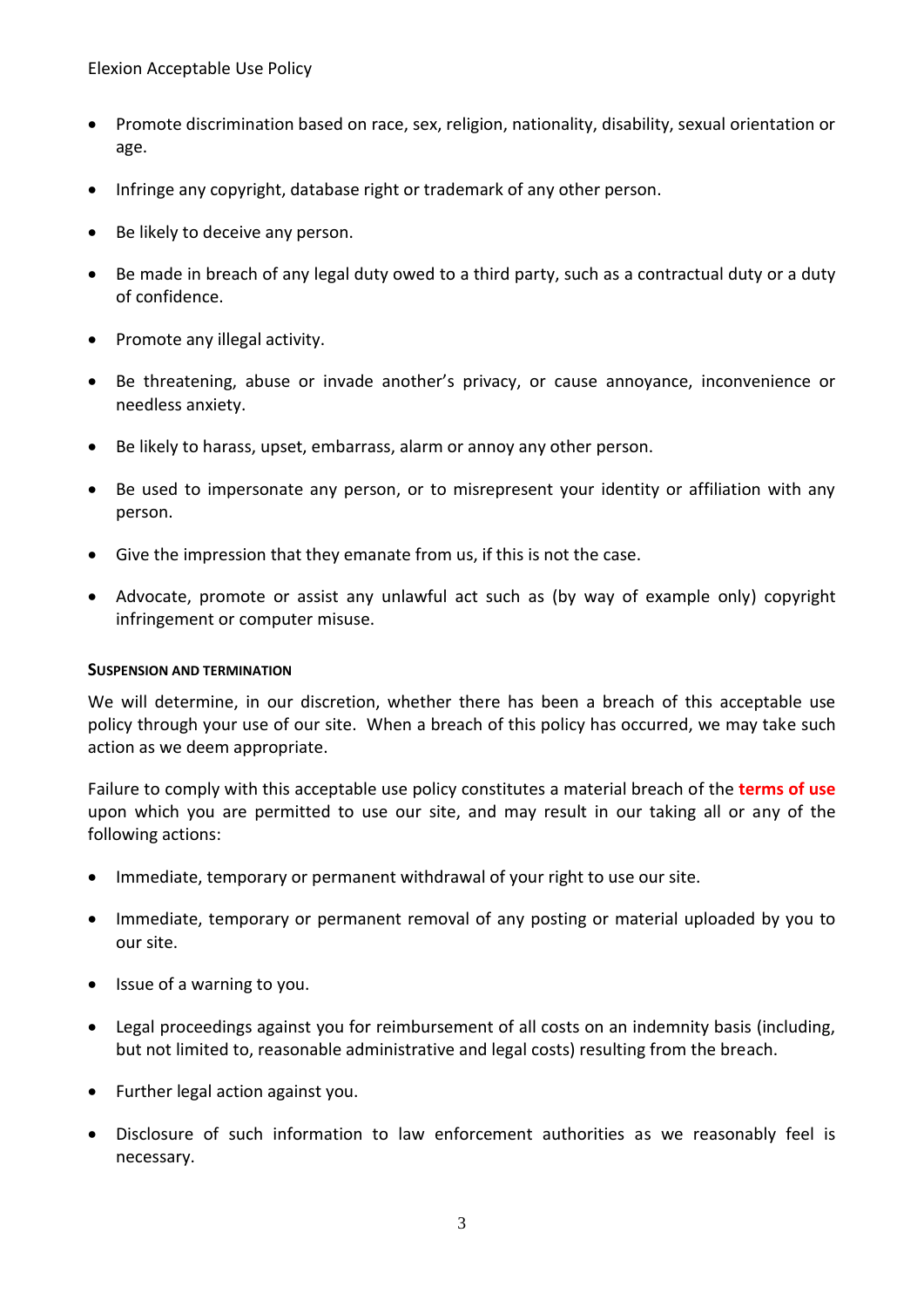Elexion Acceptable Use Policy

- Promote discrimination based on race, sex, religion, nationality, disability, sexual orientation or age.
- Infringe any copyright, database right or trademark of any other person.
- Be likely to deceive any person.
- Be made in breach of any legal duty owed to a third party, such as a contractual duty or a duty of confidence.
- Promote any illegal activity.
- Be threatening, abuse or invade another's privacy, or cause annoyance, inconvenience or needless anxiety.
- Be likely to harass, upset, embarrass, alarm or annoy any other person.
- Be used to impersonate any person, or to misrepresent your identity or affiliation with any person.
- Give the impression that they emanate from us, if this is not the case.
- Advocate, promote or assist any unlawful act such as (by way of example only) copyright infringement or computer misuse.

#### **SUSPENSION AND TERMINATION**

We will determine, in our discretion, whether there has been a breach of this acceptable use policy through your use of our site. When a breach of this policy has occurred, we may take such action as we deem appropriate.

Failure to comply with this acceptable use policy constitutes a material breach of the **terms of use** upon which you are permitted to use our site, and may result in our taking all or any of the following actions:

- Immediate, temporary or permanent withdrawal of your right to use our site.
- Immediate, temporary or permanent removal of any posting or material uploaded by you to our site.
- Issue of a warning to you.
- Legal proceedings against you for reimbursement of all costs on an indemnity basis (including, but not limited to, reasonable administrative and legal costs) resulting from the breach.
- Further legal action against you.
- Disclosure of such information to law enforcement authorities as we reasonably feel is necessary.